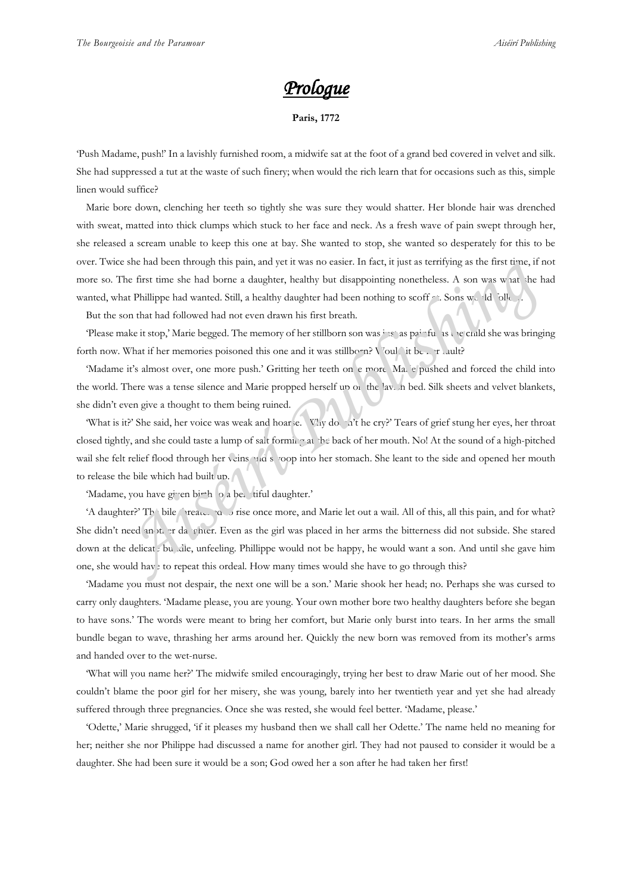## *Prologue*

**Paris, 1772**

'Push Madame, push!' In a lavishly furnished room, a midwife sat at the foot of a grand bed covered in velvet and silk. She had suppressed a tut at the waste of such finery; when would the rich learn that for occasions such as this, simple linen would suffice?

Marie bore down, clenching her teeth so tightly she was sure they would shatter. Her blonde hair was drenched with sweat, matted into thick clumps which stuck to her face and neck. As a fresh wave of pain swept through her, she released a scream unable to keep this one at bay. She wanted to stop, she wanted so desperately for this to be over. Twice she had been through this pain, and yet it was no easier. In fact, it just as terrifying as the first time, if not more so. The first time she had borne a daughter, healthy but disappointing nonetheless. A son was what she had wanted, what Phillippe had wanted. Still, a healthy daughter had been nothing to scoff at . Sons would follow

But the son that had followed had not even drawn his first breath.

'Please make it stop,' Marie begged. The memory of her stillborn son was just as painful as the child she was bringing forth now. What if her memories poisoned this one and it was stillborn? Vould it be  $\ldots$  in ault?

'Madame it's almost over, one more push.' Gritting her teeth on e more. Ma, e pushed and forced the child into the world. There was a tense silence and Marie propped herself up on the lavish bed. Silk sheets and velvet blankets, she didn't even give a thought to them being ruined.

'What is it?' She said, her voice was weak and hoarse. \VLy doesn't he cry?' Tears of grief stung her eyes, her throat closed tightly, and she could taste a lump of salt forming at the back of her mouth. No! At the sound of a high-pitched wail she felt relief flood through her veins and swoop into her stomach. She leant to the side and opened her mouth to release the bile which had built up. For the halo been through this pain, and yet it was no easier. In fact, it just as territying as the irst true, it not<br>The first time she had borne a daughter, healthy but disappointing nonetheless. A son was what the hal

'Madame, you have given birth to a beautiful daughter.'

'A daughter?' The bile threatened to rise once more, and Marie let out a wail. All of this, all this pain, and for what? She didn't need another da giver. Even as the girl was placed in her arms the bitterness did not subside. She stared down at the delicat. bundle, unfeeling. Phillippe would not be happy, he would want a son. And until she gave him one, she would have to repeat this ordeal. How many times would she have to go through this?

'Madame you must not despair, the next one will be a son.' Marie shook her head; no. Perhaps she was cursed to carry only daughters. 'Madame please, you are young. Your own mother bore two healthy daughters before she began to have sons.' The words were meant to bring her comfort, but Marie only burst into tears. In her arms the small bundle began to wave, thrashing her arms around her. Quickly the new born was removed from its mother's arms and handed over to the wet-nurse.

'What will you name her?' The midwife smiled encouragingly, trying her best to draw Marie out of her mood. She couldn't blame the poor girl for her misery, she was young, barely into her twentieth year and yet she had already suffered through three pregnancies. Once she was rested, she would feel better. 'Madame, please.'

'Odette,' Marie shrugged, 'if it pleases my husband then we shall call her Odette.' The name held no meaning for her; neither she nor Philippe had discussed a name for another girl. They had not paused to consider it would be a daughter. She had been sure it would be a son; God owed her a son after he had taken her first!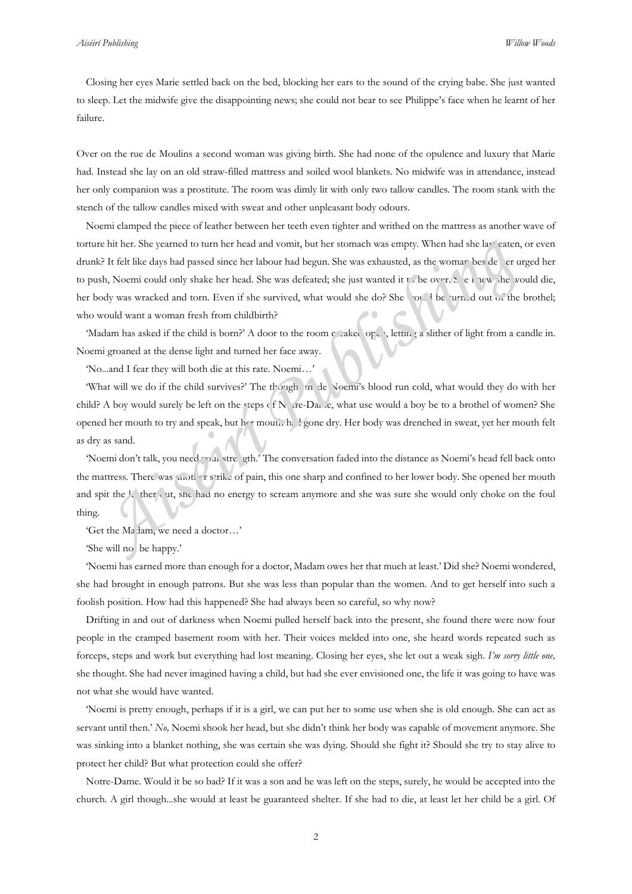Closing her eyes Marie settled back on the bed, blocking her ears to the sound of the crying babe. She just wanted to sleep. Let the midwife give the disappointing news; she could not bear to see Philippe's face when he learnt of her failure.

Over on the rue de Moulins a second woman was giving birth. She had none of the opulence and luxury that Marie had. Instead she lay on an old straw-filled mattress and soiled wool blankets. No midwife was in attendance, instead her only companion was a prostitute. The room was dimly lit with only two tallow candles. The room stank with the stench of the tallow candles mixed with sweat and other unpleasant body odours.

Noemi clamped the piece of leather between her teeth even tighter and writhed on the mattress as another wave of torture hit her. She yearned to turn her head and vomit, but her stomach was empty. When had she last eaten, or even drunk? It felt like days had passed since her labour had begun. She was exhausted, as the woman bes de er urged her to push, Noemi could only shake her head. She was defeated; she just wanted it to be over. She knew she would die, her body was wracked and torn. Even if she survived, what would she do? She would be turned out of the brothel; who would want a woman fresh from childbirth? *A* and the solution and the stondard was empty. When had she last extend, the stondard was empty. When had she last extend, the *Ak* If felt like days had passed since her labour had begun. She was exhausted, as the womar

'Madam has asked if the child is born?' A door to the room creaked open, letting a slither of light from a candle in. Noemi groaned at the dense light and turned her face away.

'No...and I fear they will both die at this rate. Noemi…'

'What will we do if the child survives?' The though in de Noemi's blood run cold, what would they do with her child? A boy would surely be left on the steps of N are-Dame, what use would a boy be to a brothel of women? She opened her mouth to try and speak, but her mouth had gone dry. Her body was drenched in sweat, yet her mouth felt as dry as sand.

'Noemi don't talk, you need your streength.' The conversation faded into the distance as Noemi's head fell back onto the mattress. There was another strike of pain, this one sharp and confined to her lower body. She opened her mouth and spit the leather out, she had no energy to scream anymore and she was sure she would only choke on the foul thing.

'Get the Ma lam, we need a doctor...'

'She will no be happy.'

'Noemi has earned more than enough for a doctor, Madam owes her that much at least.' Did she? Noemi wondered, she had brought in enough patrons. But she was less than popular than the women. And to get herself into such a foolish position. How had this happened? She had always been so careful, so why now?

Drifting in and out of darkness when Noemi pulled herself back into the present, she found there were now four people in the cramped basement room with her. Their voices melded into one, she heard words repeated such as forceps, steps and work but everything had lost meaning. Closing her eyes, she let out a weak sigh. *I'm sorry little one,* she thought. She had never imagined having a child, but had she ever envisioned one, the life it was going to have was not what she would have wanted.

'Noemi is pretty enough, perhaps if it is a girl, we can put her to some use when she is old enough. She can act as servant until then.' *No,* Noemi shook her head, but she didn't think her body was capable of movement anymore. She was sinking into a blanket nothing, she was certain she was dying. Should she fight it? Should she try to stay alive to protect her child? But what protection could she offer?

Notre-Dame. Would it be so bad? If it was a son and he was left on the steps, surely, he would be accepted into the church. A girl though...she would at least be guaranteed shelter. If she had to die, at least let her child be a girl. Of